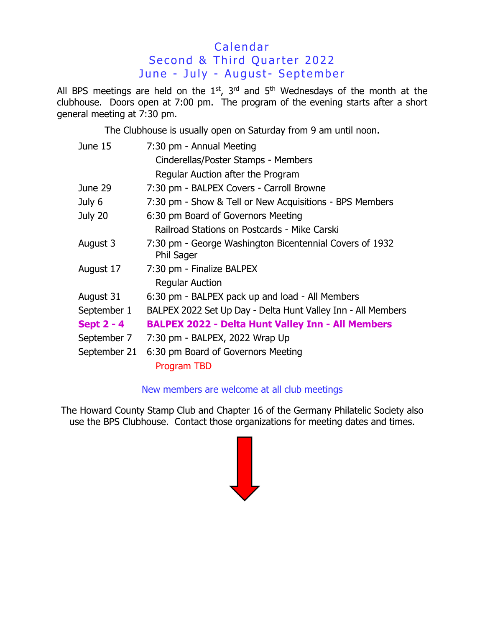## Calendar Second & Third Quarter 2022 June - July - August- September

All BPS meetings are held on the  $1<sup>st</sup>$ ,  $3<sup>rd</sup>$  and  $5<sup>th</sup>$  Wednesdays of the month at the clubhouse. Doors open at 7:00 pm. The program of the evening starts after a short general meeting at 7:30 pm.

The Clubhouse is usually open on Saturday from 9 am until noon.

| June 15           | 7:30 pm - Annual Meeting                                                     |  |  |
|-------------------|------------------------------------------------------------------------------|--|--|
|                   | Cinderellas/Poster Stamps - Members                                          |  |  |
|                   | Regular Auction after the Program                                            |  |  |
| June 29           | 7:30 pm - BALPEX Covers - Carroll Browne                                     |  |  |
| July 6            | 7:30 pm - Show & Tell or New Acquisitions - BPS Members                      |  |  |
| July 20           | 6:30 pm Board of Governors Meeting                                           |  |  |
|                   | Railroad Stations on Postcards - Mike Carski                                 |  |  |
| August 3          | 7:30 pm - George Washington Bicentennial Covers of 1932<br><b>Phil Sager</b> |  |  |
| August 17         | 7:30 pm - Finalize BALPEX<br><b>Regular Auction</b>                          |  |  |
| August 31         | 6:30 pm - BALPEX pack up and load - All Members                              |  |  |
| September 1       | BALPEX 2022 Set Up Day - Delta Hunt Valley Inn - All Members                 |  |  |
| <b>Sept 2 - 4</b> | <b>BALPEX 2022 - Delta Hunt Valley Inn - All Members</b>                     |  |  |
| September 7       | 7:30 pm - BALPEX, 2022 Wrap Up                                               |  |  |
| September 21      | 6:30 pm Board of Governors Meeting<br>Program TBD                            |  |  |

## New members are welcome at all club meetings

The Howard County Stamp Club and Chapter 16 of the Germany Philatelic Society also use the BPS Clubhouse. Contact those organizations for meeting dates and times.